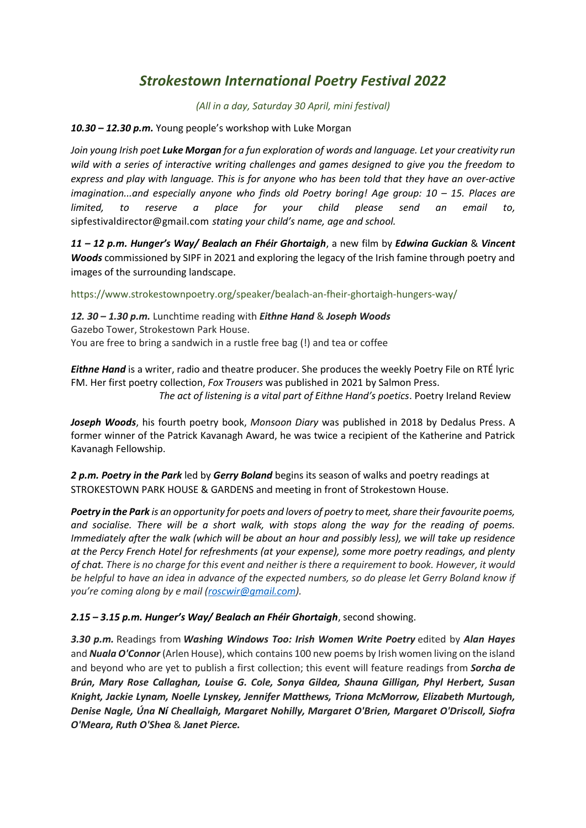## *Strokestown International Poetry Festival 2022*

*(All in a day, Saturday 30 April, mini festival)* 

*10.30 – 12.30 p.m.* Young people's workshop with Luke Morgan

*Join young Irish poet Luke Morgan for a fun exploration of words and language. Let your creativity run wild with a series of interactive writing challenges and games designed to give you the freedom to express and play with language. This is for anyone who has been told that they have an over-active imagination...and especially anyone who finds old Poetry boring! Age group: 10 – 15. Places are limited, to reserve a place for your child please send an email to,*  sipfestivaldirector@gmail.com *stating your child's name, age and school.*

*11 – 12 p.m. Hunger's Way/ Bealach an Fhéir Ghortaigh*, a new film by *Edwina Guckian* & *Vincent Woods* commissioned by SIPF in 2021 and exploring the legacy of the Irish famine through poetry and images of the surrounding landscape.

https://www.strokestownpoetry.org/speaker/bealach-an-fheir-ghortaigh-hungers-way/

*12. 30 – 1.30 p.m.* Lunchtime reading with *Eithne Hand* & *Joseph Woods* Gazebo Tower, Strokestown Park House. You are free to bring a sandwich in a rustle free bag (!) and tea or coffee

*Eithne Hand* is a writer, radio and theatre producer. She produces the weekly Poetry File on RTÉ lyric FM. Her first poetry collection, *Fox Trousers* was published in 2021 by Salmon Press.  *The act of listening is a vital part of Eithne Hand's poetics*. Poetry Ireland Review

*Joseph Woods*, his fourth poetry book, *Monsoon Diary* was published in 2018 by Dedalus Press. A former winner of the Patrick Kavanagh Award, he was twice a recipient of the Katherine and Patrick Kavanagh Fellowship.

*2 p.m. Poetry in the Park* led by *Gerry Boland* begins its season of walks and poetry readings at STROKESTOWN PARK HOUSE & GARDENS and meeting in front of Strokestown House.

*Poetry in the Park is an opportunity for poets and lovers of poetry to meet, share their favourite poems, and socialise. There will be a short walk, with stops along the way for the reading of poems. Immediately after the walk (which will be about an hour and possibly less), we will take up residence at the Percy French Hotel for refreshments (at your expense), some more poetry readings, and plenty of chat. There is no charge for this event and neither is there a requirement to book. However, it would be helpful to have an idea in advance of the expected numbers, so do please let Gerry Boland know if you're coming along by e mail [\(roscwir@gmail.com\)](mailto:roscwir@gmail.com).* 

## *2.15 – 3.15 p.m. Hunger's Way/ Bealach an Fhéir Ghortaigh*, second showing.

*3.30 p.m.* Readings from *Washing Windows Too: Irish Women Write Poetry* edited by *Alan Hayes* and *Nuala O'Connor* (Arlen House), which contains 100 new poems by Irish women living on the island and beyond who are yet to publish a first collection; this event will feature readings from *Sorcha de Brún, Mary Rose Callaghan, Louise G. Cole, Sonya Gildea, Shauna Gilligan, Phyl Herbert, Susan Knight, Jackie Lynam, Noelle Lynskey, Jennifer Matthews, Triona McMorrow, Elizabeth Murtough, Denise Nagle, Úna Ní Cheallaigh, Margaret Nohilly, Margaret O'Brien, Margaret O'Driscoll, Siofra O'Meara, Ruth O'Shea* & *Janet Pierce.*